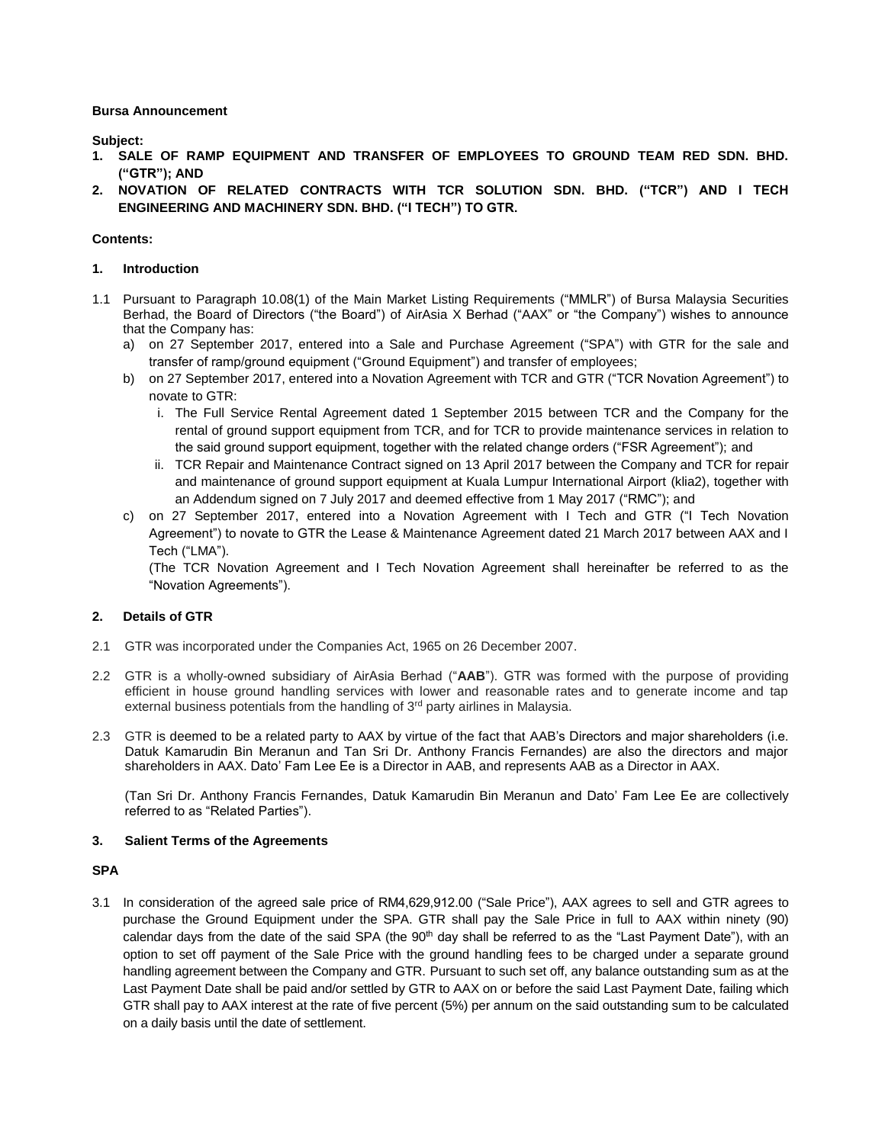**Bursa Announcement**

**Subject:**

- **1. SALE OF RAMP EQUIPMENT AND TRANSFER OF EMPLOYEES TO GROUND TEAM RED SDN. BHD. ("GTR"); AND**
- **2. NOVATION OF RELATED CONTRACTS WITH TCR SOLUTION SDN. BHD. ("TCR") AND I TECH ENGINEERING AND MACHINERY SDN. BHD. ("I TECH") TO GTR.**

# **Contents:**

# **1. Introduction**

- 1.1 Pursuant to Paragraph 10.08(1) of the Main Market Listing Requirements ("MMLR") of Bursa Malaysia Securities Berhad, the Board of Directors ("the Board") of AirAsia X Berhad ("AAX" or "the Company") wishes to announce that the Company has:
	- a) on 27 September 2017, entered into a Sale and Purchase Agreement ("SPA") with GTR for the sale and transfer of ramp/ground equipment ("Ground Equipment") and transfer of employees;
	- b) on 27 September 2017, entered into a Novation Agreement with TCR and GTR ("TCR Novation Agreement") to novate to GTR:
		- i. The Full Service Rental Agreement dated 1 September 2015 between TCR and the Company for the rental of ground support equipment from TCR, and for TCR to provide maintenance services in relation to the said ground support equipment, together with the related change orders ("FSR Agreement"); and
		- ii. TCR Repair and Maintenance Contract signed on 13 April 2017 between the Company and TCR for repair and maintenance of ground support equipment at Kuala Lumpur International Airport (klia2), together with an Addendum signed on 7 July 2017 and deemed effective from 1 May 2017 ("RMC"); and
	- c) on 27 September 2017, entered into a Novation Agreement with I Tech and GTR ("I Tech Novation Agreement") to novate to GTR the Lease & Maintenance Agreement dated 21 March 2017 between AAX and I Tech ("LMA").

(The TCR Novation Agreement and I Tech Novation Agreement shall hereinafter be referred to as the "Novation Agreements").

# **2. Details of GTR**

- 2.1 GTR was incorporated under the Companies Act, 1965 on 26 December 2007.
- 2.2 GTR is a wholly-owned subsidiary of AirAsia Berhad ("**AAB**"). GTR was formed with the purpose of providing efficient in house ground handling services with lower and reasonable rates and to generate income and tap external business potentials from the handling of 3<sup>rd</sup> party airlines in Malaysia.
- 2.3 GTR is deemed to be a related party to AAX by virtue of the fact that AAB's Directors and major shareholders (i.e. Datuk Kamarudin Bin Meranun and Tan Sri Dr. Anthony Francis Fernandes) are also the directors and major shareholders in AAX. Dato' Fam Lee Ee is a Director in AAB, and represents AAB as a Director in AAX.

(Tan Sri Dr. Anthony Francis Fernandes, Datuk Kamarudin Bin Meranun and Dato' Fam Lee Ee are collectively referred to as "Related Parties").

## **3. Salient Terms of the Agreements**

# **SPA**

3.1 In consideration of the agreed sale price of RM4,629,912.00 ("Sale Price"), AAX agrees to sell and GTR agrees to purchase the Ground Equipment under the SPA. GTR shall pay the Sale Price in full to AAX within ninety (90) calendar days from the date of the said SPA (the  $90<sup>th</sup>$  day shall be referred to as the "Last Payment Date"), with an option to set off payment of the Sale Price with the ground handling fees to be charged under a separate ground handling agreement between the Company and GTR. Pursuant to such set off, any balance outstanding sum as at the Last Payment Date shall be paid and/or settled by GTR to AAX on or before the said Last Payment Date, failing which GTR shall pay to AAX interest at the rate of five percent (5%) per annum on the said outstanding sum to be calculated on a daily basis until the date of settlement.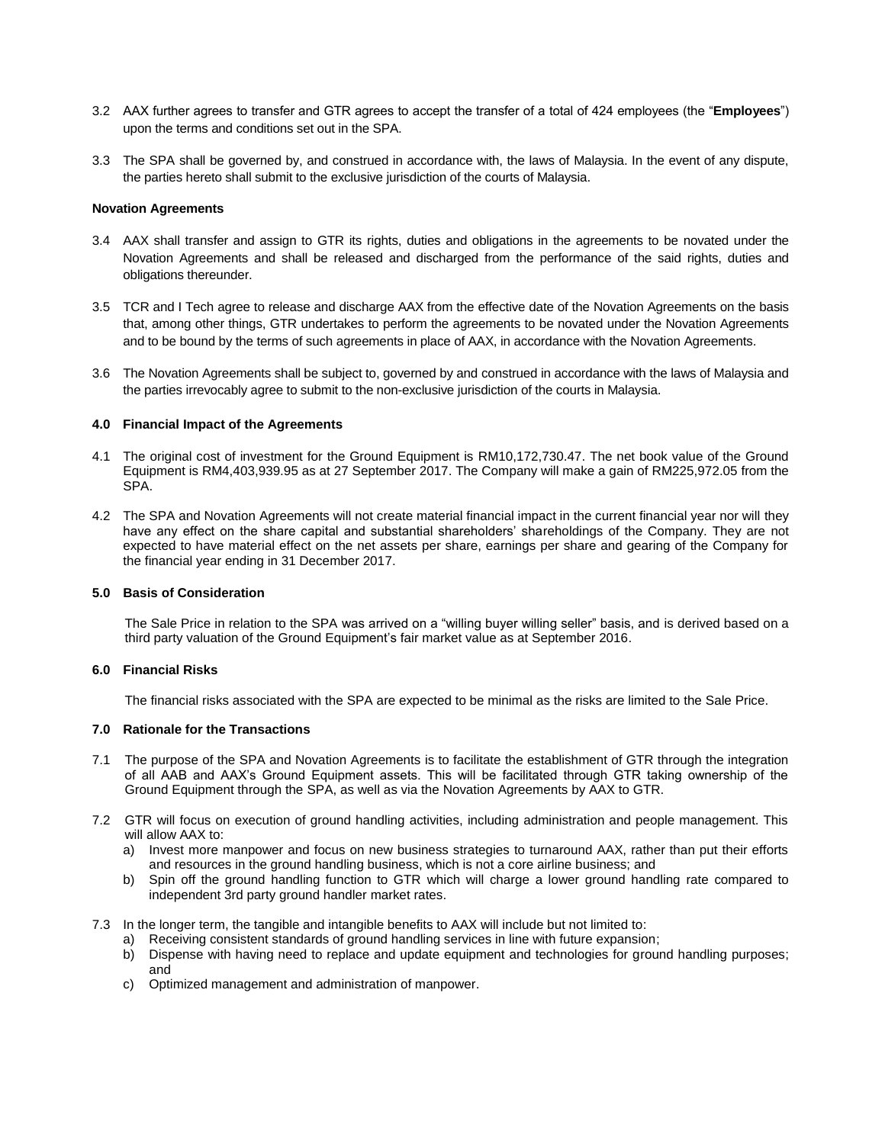- 3.2 AAX further agrees to transfer and GTR agrees to accept the transfer of a total of 424 employees (the "**Employees**") upon the terms and conditions set out in the SPA.
- 3.3 The SPA shall be governed by, and construed in accordance with, the laws of Malaysia. In the event of any dispute, the parties hereto shall submit to the exclusive jurisdiction of the courts of Malaysia.

## **Novation Agreements**

- 3.4 AAX shall transfer and assign to GTR its rights, duties and obligations in the agreements to be novated under the Novation Agreements and shall be released and discharged from the performance of the said rights, duties and obligations thereunder.
- 3.5 TCR and I Tech agree to release and discharge AAX from the effective date of the Novation Agreements on the basis that, among other things, GTR undertakes to perform the agreements to be novated under the Novation Agreements and to be bound by the terms of such agreements in place of AAX, in accordance with the Novation Agreements.
- 3.6 The Novation Agreements shall be subject to, governed by and construed in accordance with the laws of Malaysia and the parties irrevocably agree to submit to the non-exclusive jurisdiction of the courts in Malaysia.

## **4.0 Financial Impact of the Agreements**

- 4.1 The original cost of investment for the Ground Equipment is RM10,172,730.47. The net book value of the Ground Equipment is RM4,403,939.95 as at 27 September 2017. The Company will make a gain of RM225,972.05 from the SPA.
- 4.2 The SPA and Novation Agreements will not create material financial impact in the current financial year nor will they have any effect on the share capital and substantial shareholders' shareholdings of the Company. They are not expected to have material effect on the net assets per share, earnings per share and gearing of the Company for the financial year ending in 31 December 2017.

#### **5.0 Basis of Consideration**

The Sale Price in relation to the SPA was arrived on a "willing buyer willing seller" basis, and is derived based on a third party valuation of the Ground Equipment's fair market value as at September 2016.

#### **6.0 Financial Risks**

The financial risks associated with the SPA are expected to be minimal as the risks are limited to the Sale Price.

# **7.0 Rationale for the Transactions**

- 7.1 The purpose of the SPA and Novation Agreements is to facilitate the establishment of GTR through the integration of all AAB and AAX's Ground Equipment assets. This will be facilitated through GTR taking ownership of the Ground Equipment through the SPA, as well as via the Novation Agreements by AAX to GTR.
- 7.2 GTR will focus on execution of ground handling activities, including administration and people management. This will allow AAX to:
	- a) Invest more manpower and focus on new business strategies to turnaround AAX, rather than put their efforts and resources in the ground handling business, which is not a core airline business; and
	- b) Spin off the ground handling function to GTR which will charge a lower ground handling rate compared to independent 3rd party ground handler market rates.
- 7.3 In the longer term, the tangible and intangible benefits to AAX will include but not limited to:
	- a) Receiving consistent standards of ground handling services in line with future expansion;
	- b) Dispense with having need to replace and update equipment and technologies for ground handling purposes; and
	- c) Optimized management and administration of manpower.